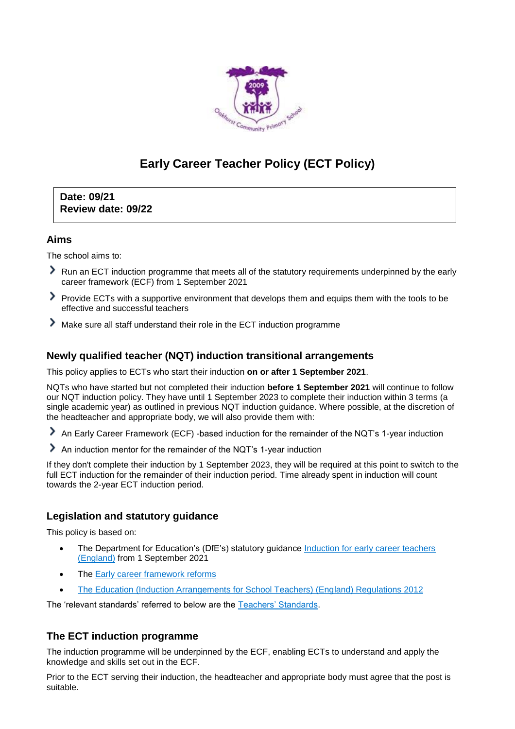

# **Early Career Teacher Policy (ECT Policy)**

**Date: 09/21 Review date: 09/22**

## **Aims**

The school aims to:

- Run an ECT induction programme that meets all of the statutory requirements underpinned by the early career framework (ECF) from 1 September 2021
- Provide ECTs with a supportive environment that develops them and equips them with the tools to be effective and successful teachers
- Make sure all staff understand their role in the ECT induction programme

## **Newly qualified teacher (NQT) induction transitional arrangements**

This policy applies to ECTs who start their induction **on or after 1 September 2021**.

NQTs who have started but not completed their induction **before 1 September 2021** will continue to follow our NQT induction policy. They have until 1 September 2023 to complete their induction within 3 terms (a single academic year) as outlined in previous NQT induction guidance. Where possible, at the discretion of the headteacher and appropriate body, we will also provide them with:

An Early Career Framework (ECF) -based induction for the remainder of the NQT's 1-year induction

An induction mentor for the remainder of the NQT's 1-year induction

If they don't complete their induction by 1 September 2023, they will be required at this point to switch to the full ECT induction for the remainder of their induction period. Time already spent in induction will count towards the 2-year ECT induction period.

# **Legislation and statutory guidance**

This policy is based on:

- The Department for Education's (DfE's) statutory guidance Induction for early career teachers [\(England\)](https://www.gov.uk/government/publications/induction-for-early-career-teachers-england) from 1 September 2021
- The [Early career framework reforms](https://www.gov.uk/government/collections/early-career-framework-reforms)
- [The Education \(Induction Arrangements for School Teachers\) \(England\) Regulations 2012](http://www.legislation.gov.uk/uksi/2012/1115/contents/made)

The 'relevant standards' referred to below are the [Teachers' Standards.](https://www.gov.uk/government/publications/teachers-standards)

## **The ECT induction programme**

The induction programme will be underpinned by the ECF, enabling ECTs to understand and apply the knowledge and skills set out in the ECF.

Prior to the ECT serving their induction, the headteacher and appropriate body must agree that the post is suitable.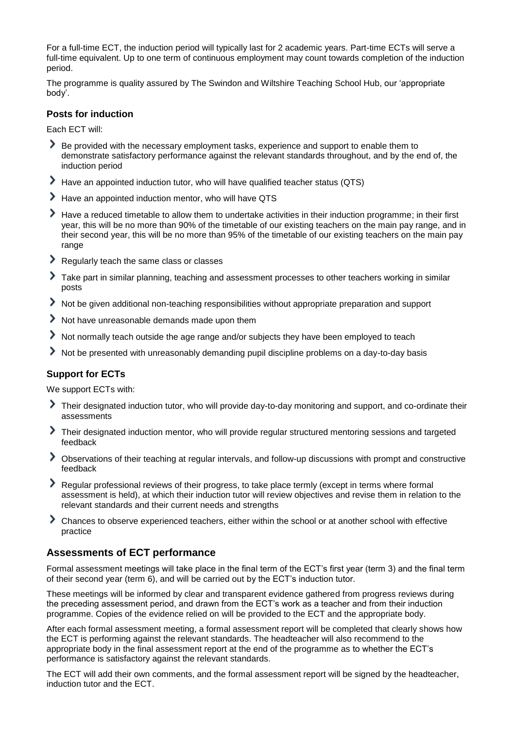For a full-time ECT, the induction period will typically last for 2 academic years. Part-time ECTs will serve a full-time equivalent. Up to one term of continuous employment may count towards completion of the induction period.

The programme is quality assured by The Swindon and Wiltshire Teaching School Hub, our 'appropriate body'.

#### **Posts for induction**

Each ECT will:

- Be provided with the necessary employment tasks, experience and support to enable them to demonstrate satisfactory performance against the relevant standards throughout, and by the end of, the induction period
- Have an appointed induction tutor, who will have qualified teacher status (QTS)
- Have an appointed induction mentor, who will have QTS
- Have a reduced timetable to allow them to undertake activities in their induction programme; in their first year, this will be no more than 90% of the timetable of our existing teachers on the main pay range, and in their second year, this will be no more than 95% of the timetable of our existing teachers on the main pay range
- Regularly teach the same class or classes
- Take part in similar planning, teaching and assessment processes to other teachers working in similar posts
- Not be given additional non-teaching responsibilities without appropriate preparation and support
- Not have unreasonable demands made upon them
- Not normally teach outside the age range and/or subjects they have been employed to teach
- Not be presented with unreasonably demanding pupil discipline problems on a day-to-day basis

## **Support for ECTs**

We support ECTs with:

- Their designated induction tutor, who will provide day-to-day monitoring and support, and co-ordinate their assessments
- Their designated induction mentor, who will provide regular structured mentoring sessions and targeted feedback
- Observations of their teaching at regular intervals, and follow-up discussions with prompt and constructive feedback
- Regular professional reviews of their progress, to take place termly (except in terms where formal assessment is held), at which their induction tutor will review objectives and revise them in relation to the relevant standards and their current needs and strengths
- Chances to observe experienced teachers, either within the school or at another school with effective practice

## **Assessments of ECT performance**

Formal assessment meetings will take place in the final term of the ECT's first year (term 3) and the final term of their second year (term 6), and will be carried out by the ECT's induction tutor.

These meetings will be informed by clear and transparent evidence gathered from progress reviews during the preceding assessment period, and drawn from the ECT's work as a teacher and from their induction programme. Copies of the evidence relied on will be provided to the ECT and the appropriate body.

After each formal assessment meeting, a formal assessment report will be completed that clearly shows how the ECT is performing against the relevant standards. The headteacher will also recommend to the appropriate body in the final assessment report at the end of the programme as to whether the ECT's performance is satisfactory against the relevant standards.

The ECT will add their own comments, and the formal assessment report will be signed by the headteacher, induction tutor and the ECT.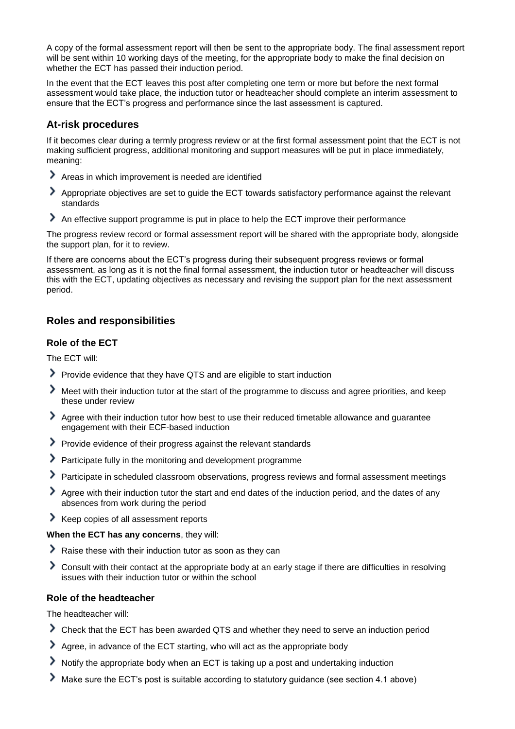A copy of the formal assessment report will then be sent to the appropriate body. The final assessment report will be sent within 10 working days of the meeting, for the appropriate body to make the final decision on whether the ECT has passed their induction period.

In the event that the ECT leaves this post after completing one term or more but before the next formal assessment would take place, the induction tutor or headteacher should complete an interim assessment to ensure that the ECT's progress and performance since the last assessment is captured.

## **At-risk procedures**

If it becomes clear during a termly progress review or at the first formal assessment point that the ECT is not making sufficient progress, additional monitoring and support measures will be put in place immediately, meaning:

- Areas in which improvement is needed are identified
- Appropriate objectives are set to guide the ECT towards satisfactory performance against the relevant standards
- An effective support programme is put in place to help the ECT improve their performance

The progress review record or formal assessment report will be shared with the appropriate body, alongside the support plan, for it to review.

If there are concerns about the ECT's progress during their subsequent progress reviews or formal assessment, as long as it is not the final formal assessment, the induction tutor or headteacher will discuss this with the ECT, updating objectives as necessary and revising the support plan for the next assessment period.

## **Roles and responsibilities**

#### **Role of the ECT**

The ECT will:

- Provide evidence that they have QTS and are eligible to start induction
- Meet with their induction tutor at the start of the programme to discuss and agree priorities, and keep these under review
- Agree with their induction tutor how best to use their reduced timetable allowance and guarantee engagement with their ECF-based induction
- Provide evidence of their progress against the relevant standards
- Participate fully in the monitoring and development programme
- Participate in scheduled classroom observations, progress reviews and formal assessment meetings
- Agree with their induction tutor the start and end dates of the induction period, and the dates of any absences from work during the period
- Keep copies of all assessment reports

**When the ECT has any concerns**, they will:

- Raise these with their induction tutor as soon as they can
- Consult with their contact at the appropriate body at an early stage if there are difficulties in resolving issues with their induction tutor or within the school

#### **Role of the headteacher**

The headteacher will:

- Check that the ECT has been awarded QTS and whether they need to serve an induction period
- Agree, in advance of the ECT starting, who will act as the appropriate body
- Notify the appropriate body when an ECT is taking up a post and undertaking induction
- Make sure the ECT's post is suitable according to statutory guidance (see section 4.1 above)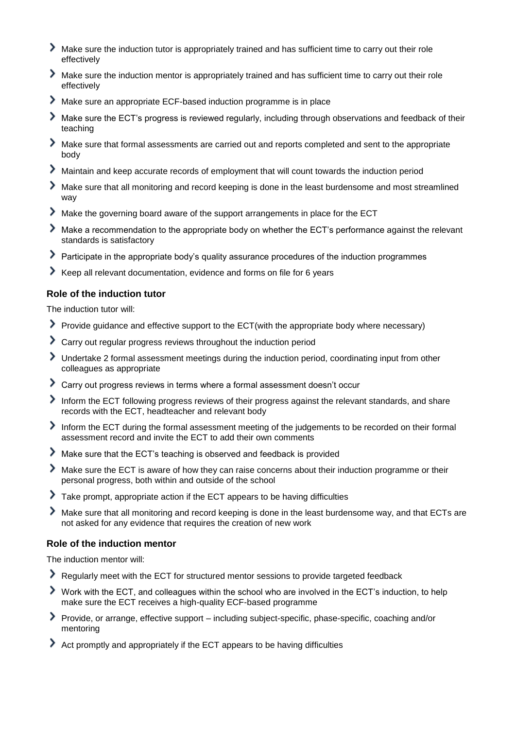- ≻ Make sure the induction tutor is appropriately trained and has sufficient time to carry out their role effectively
- Make sure the induction mentor is appropriately trained and has sufficient time to carry out their role effectively
- Make sure an appropriate ECF-based induction programme is in place
- ≻ Make sure the ECT's progress is reviewed regularly, including through observations and feedback of their teaching
- ⋗ Make sure that formal assessments are carried out and reports completed and sent to the appropriate body
- Maintain and keep accurate records of employment that will count towards the induction period
- Make sure that all monitoring and record keeping is done in the least burdensome and most streamlined way
- Make the governing board aware of the support arrangements in place for the ECT
- Make a recommendation to the appropriate body on whether the ECT's performance against the relevant standards is satisfactory
- Participate in the appropriate body's quality assurance procedures of the induction programmes
- Keep all relevant documentation, evidence and forms on file for 6 years

#### **Role of the induction tutor**

The induction tutor will:

- Provide guidance and effective support to the ECT(with the appropriate body where necessary)
- Carry out regular progress reviews throughout the induction period
- Undertake 2 formal assessment meetings during the induction period, coordinating input from other colleagues as appropriate
- Carry out progress reviews in terms where a formal assessment doesn't occur
- Inform the ECT following progress reviews of their progress against the relevant standards, and share records with the ECT, headteacher and relevant body
- Inform the ECT during the formal assessment meeting of the judgements to be recorded on their formal assessment record and invite the ECT to add their own comments
- Make sure that the ECT's teaching is observed and feedback is provided
- Make sure the ECT is aware of how they can raise concerns about their induction programme or their personal progress, both within and outside of the school
- ≻ Take prompt, appropriate action if the ECT appears to be having difficulties
- ⋟ Make sure that all monitoring and record keeping is done in the least burdensome way, and that ECTs are not asked for any evidence that requires the creation of new work

#### **Role of the induction mentor**

The induction mentor will:

- Regularly meet with the ECT for structured mentor sessions to provide targeted feedback
- Work with the ECT, and colleagues within the school who are involved in the ECT's induction, to help make sure the ECT receives a high-quality ECF-based programme
- Provide, or arrange, effective support including subject-specific, phase-specific, coaching and/or mentoring
- Act promptly and appropriately if the ECT appears to be having difficulties